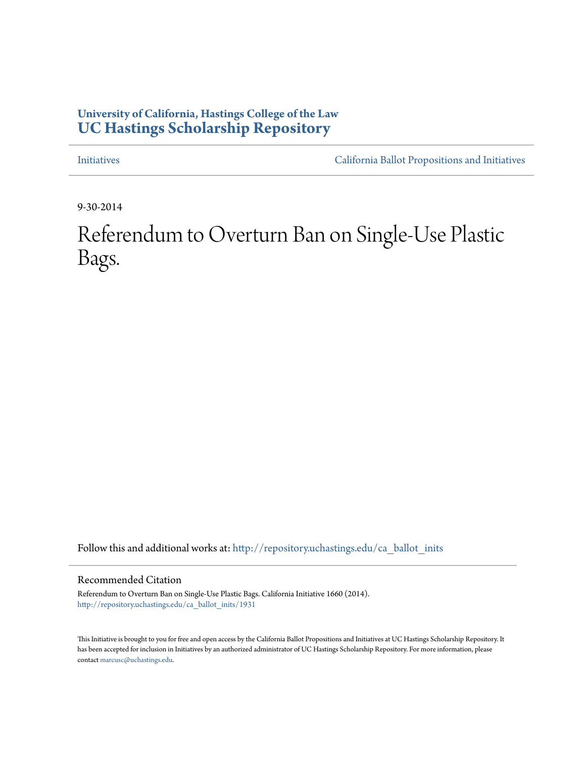## **University of California, Hastings College of the Law [UC Hastings Scholarship Repository](http://repository.uchastings.edu?utm_source=repository.uchastings.edu%2Fca_ballot_inits%2F1931&utm_medium=PDF&utm_campaign=PDFCoverPages)**

[Initiatives](http://repository.uchastings.edu/ca_ballot_inits?utm_source=repository.uchastings.edu%2Fca_ballot_inits%2F1931&utm_medium=PDF&utm_campaign=PDFCoverPages) [California Ballot Propositions and Initiatives](http://repository.uchastings.edu/ca_ballots?utm_source=repository.uchastings.edu%2Fca_ballot_inits%2F1931&utm_medium=PDF&utm_campaign=PDFCoverPages)

9-30-2014

Referendum to Overturn Ban on Single-Use Plastic Bags.

Follow this and additional works at: [http://repository.uchastings.edu/ca\\_ballot\\_inits](http://repository.uchastings.edu/ca_ballot_inits?utm_source=repository.uchastings.edu%2Fca_ballot_inits%2F1931&utm_medium=PDF&utm_campaign=PDFCoverPages)

Recommended Citation

Referendum to Overturn Ban on Single-Use Plastic Bags. California Initiative 1660 (2014). [http://repository.uchastings.edu/ca\\_ballot\\_inits/1931](http://repository.uchastings.edu/ca_ballot_inits/1931?utm_source=repository.uchastings.edu%2Fca_ballot_inits%2F1931&utm_medium=PDF&utm_campaign=PDFCoverPages)

This Initiative is brought to you for free and open access by the California Ballot Propositions and Initiatives at UC Hastings Scholarship Repository. It has been accepted for inclusion in Initiatives by an authorized administrator of UC Hastings Scholarship Repository. For more information, please contact [marcusc@uchastings.edu](mailto:marcusc@uchastings.edu).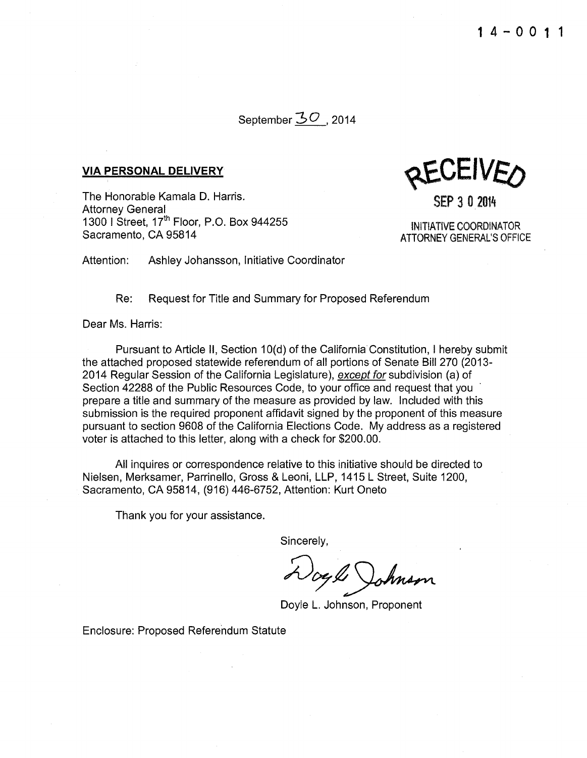September 30, 2014

## **VIA PERSONAL DELIVERY**

The Honorable Kamala D. Harris. Attorney General 1300 I Street, 17<sup>th</sup> Floor, P.O. Box 944255 Sacramento, CA 95814

~CEIVEO

SEP 3 0 2014

INITIATIVE COORDINATOR **ATTORNEY GENERAL'S OFFICE** 

Attention: Ashley Johansson, Initiative Coordinator

Re: Request for Title and Summary for Proposed Referendum

Dear Ms. Harris:

Pursuant to Article II, Section 10(d) of the California Constitution, I hereby submit the attached proposed statewide referendum of all portions of Senate Bill 270 (2013 2014 Regular Session of the California Legislature), except for subdivision (a) of Section 42288 of the Public Resources Code, to your office and request that you prepare a title and summary of the measure as provided by law. Included with this submission is the required proponent affidavit signed by the proponent of this measure pursuant to section 9608 of the California Elections Code. My address as a registered voter is attached to this letter, along with a check for \$200.00.

All inquires or correspondence relative to this initiative should be directed to Nielsen, Merksamer, Parrinello, Gross &Leoni, LLP, 1415 L Street, Suite 1200, Sacramento, CA 95814, (916) 446-6752, Attention: Kurt Oneto

Thank you for your assistance.

Sincerely,

Wogle Johnson

Doyle L. Johnson, Proponent

Enclosure: Proposed Referendum Statute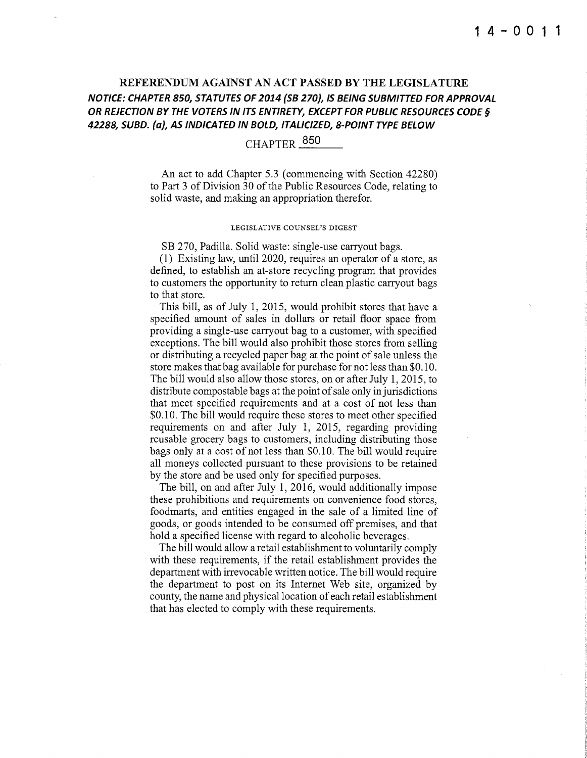## REFERENDUM AGAINST AN ACT PASSED BY THE LEGISLATURE NOTICE: CHAPTER 850, STATUTES OF 2014 {58 270}, IS BEING SUBMITTED FOR APPROVAL OR REJECTION BY THE VOTERS IN ITS ENTIRETY, EXCEPT FOR PUBLIC RESOURCES CODE§ 42288, SUBD. {a), AS INDICATED IN BOLD, ITALICIZED, 8-POINT TYPE BELOW

# CHAPTER  $^{850}$

An act to add Chapter 5.3 (commencing with Section 42280) to Part 3 of Division 30 of the Public Resources Code, relating to solid waste, and making an appropriation therefor.

#### LEGISLATIVE COUNSEL'S DIGEST

SB 270, Padilla. Solid waste: single-use carryout bags.

(1) Existing law, until2020, requires an operator of a store, as defined, to establish an at-store recycling program that provides to customers the opportunity to return clean plastic carryout bags to that store.

This bill, as of July 1, 2015, would prohibit stores that have a specified amount of sales in dollars or retail floor space from providing a single-use carryout bag to a customer, with specified exceptions. The bill would also prohibit those stores from selling or distributing a recycled paper bag at the point of sale unless the store makes that bag available for purchase for not less than \$0.1 0. The bill would also allow those stores, on or after July 1, 2015, to distribute compostable bags at the point of sale only in jurisdictions that meet specified requirements and at a cost of not less than \$0.10. The bill would require these stores to meet other specified requirements on and after July 1, 2015, regarding providing reusable grocery bags to customers, including distributing those bags only at a cost of not less than \$0.10. The bill would require all moneys collected pursuant to these provisions to be retained by the store and be used only for specified purposes.

The bill, on and after July 1, 2016, would additionally impose these prohibitions and requirements on convenience food stores, foodmarts, and entities engaged in the sale of a limited line of goods, or goods intended to be consumed off premises, and that hold a specified license with regard to alcoholic beverages.

The bill would allow a retail establishment to voluntarily comply with these requirements, if the retail establishment provides the department with irrevocable written notice. The bill would require the department to post on its Internet Web site, organized by county, the name and physical location of each retail establishment that has elected to comply with these requirements.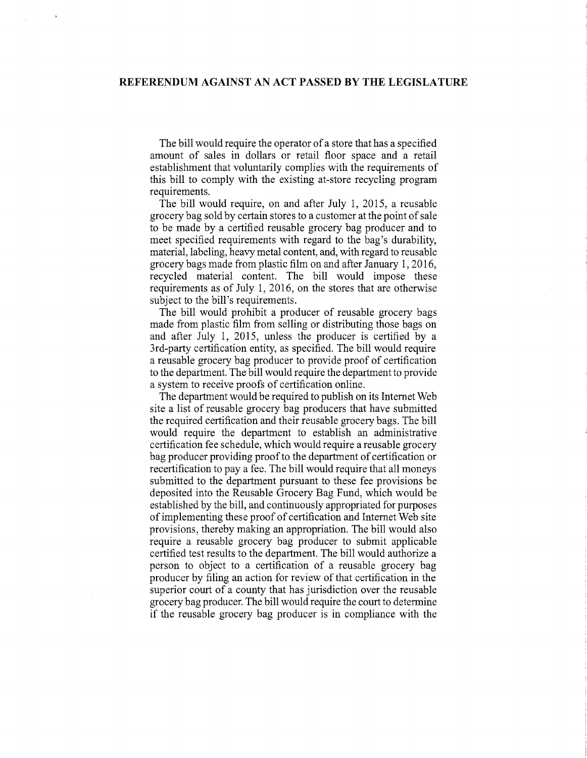The bill would require the operator of a store that has a specified amount of sales in dollars or retail floor space and a retail establishment that voluntarily complies with the requirements of this bill to comply with the existing at-store recycling program requirements.

The bill would require, on and after July 1, 2015, a reusable grocery bag sold by certain stores to a customer at the point of sale to be made by a certified reusable grocery bag producer and to meet specified requirements with regard to the bag's durability, material, labeling, heavy metal content, and, with regard to reusable grocery bags made from plastic film on and after January 1, 2016, recycled material content. The bill would impose these requirements as of July 1, 2016, on the stores that are otherwise subject to the bill's requirements.

The bill would prohibit a producer of reusable grocery bags made from plastic film from selling or distributing those bags on and after July 1, 2015, unless the producer is certified by a 3rd-party certification entity, as specified. The bill would require a reusable grocery bag producer to provide proof of certification to the department. The bill would require the department to provide a system to receive proofs of certification online.

The department would be required to publish on its Internet Web site a list of reusable grocery bag producers that have submitted the required certification and their reusable grocery bags. The bill would require the department to establish an administrative certification fee schedule, which would require a reusable grocery bag producer providing proof to the department of certification or recertification to pay a fee. The bill would require that all moneys submitted to the department pursuant to these fee provisions be deposited into the Reusable Grocery Bag Fund, which would be established by the bill, and continuously appropriated for purposes ofimplementing these proof of certification and Internet Web site provisions, thereby making an appropriation. The bill would also require a reusable grocery bag producer to submit applicable certified test results to the department. The bill would authorize a person to object to a certification of a reusable grocery bag producer by filing an action for review of that certification in the superior court of a county that has jurisdiction over the reusable grocery bag producer. The bill would require the court to determine if the reusable grocery bag producer is in compliance with the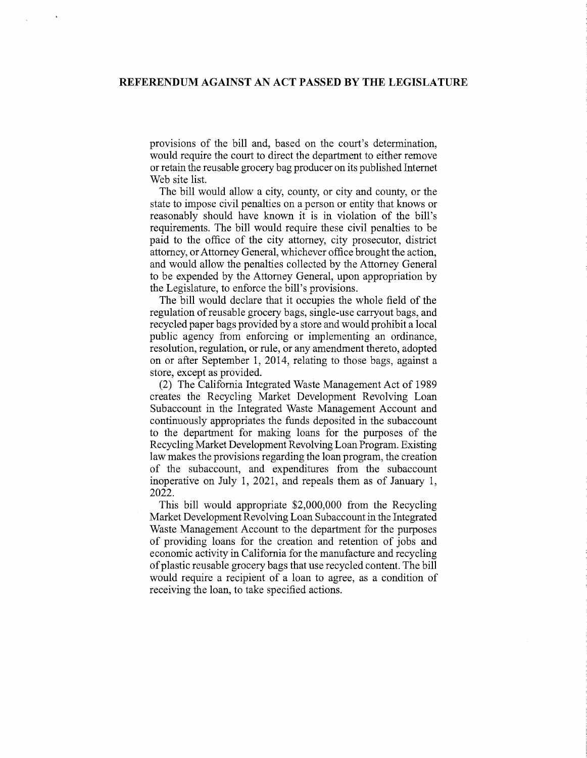provisions of the bill and, based on the court's determination, would require the court to direct the department to either remove or retain the reusable grocery bag producer on its published Internet Web site list.

The bill would allow a city, county, or city and county, or the state to impose civil penalties on a person or entity that knows or reasonably should have known it is in violation of the bill's requirements. The bill would require these civil penalties to be paid to the office of the city attorney, city prosecutor, district attorney, or Attorney General, whichever office brought the action, and would allow the penalties collected by the Attorney General to be expended by the Attorney General, upon appropriation by the Legislature, to enforce the bill's provisions.

The bill would declare that it occupies the whole field of the regulation ofreusable grocery bags, single-use carryout bags, and recycled paper bags provided by a store and would prohibit a local public agency from enforcing or implementing an ordinance, resolution, regulation, or rule, or any amendment thereto, adopted on or after September 1, 2014, relating to those bags, against a store, except as provided.

(2) The California Integrated Waste Management Act of 1989 creates the Recycling Market Development Revolving Loan Subaccount in the Integrated Waste Management Account and continuously appropriates the funds deposited in the subaccount to the department for making loans for the purposes of the Recycling Market Development Revolving Loan Program. Existing law makes the provisions regarding the loan program, the creation of the subaccount, and expenditures from the subaccount inoperative on July 1, 2021, and repeals them as of January 1, 2022.

This bill would appropriate \$2,000,000 from the Recycling Market Development Revolving Loan Subaccount in the Integrated Waste Management Account to the department for the purposes of providing loans for the creation and retention of jobs and economic activity in California for the manufacture and recycling ofplastic reusable grocery bags that use recycled content. The bill would require a recipient of a loan to agree, as a condition of receiving the loan, to take specified actions.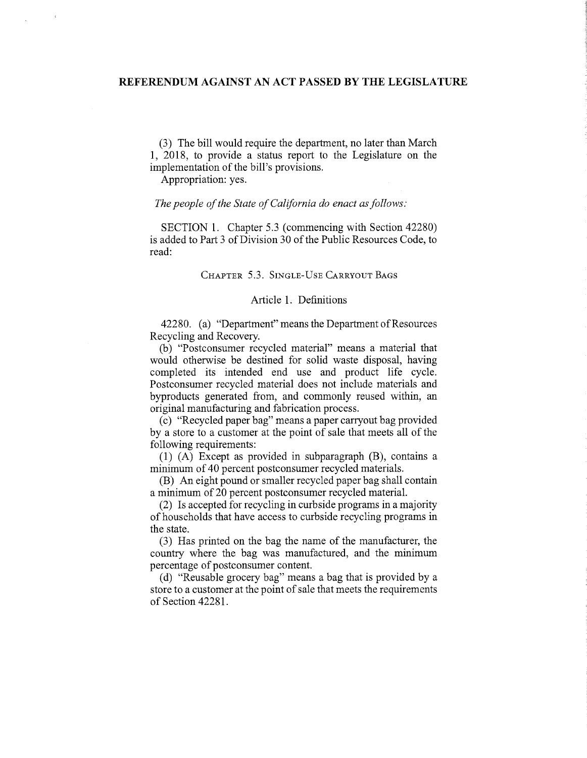(3) The bill would require the department, no later than March 1, 2018, to provide a status report to the Legislature on the implementation of the bill's provisions.

Appropriation: yes.

## *The people of the State of California do enact as follows:*

SECTION 1. Chapter 5.3 (commencing with Section 42280) is added to Part 3 of Division 30 of the Public Resources Code, to read:

## CHAPTER 5.3. SINGLE-USE CARRYOUT BAGS

## Article 1. Definitions

42280. (a) "Department" means the Department of Resources Recycling and Recovery.

(b) "Postconsumer recycled material" means a material that would otherwise be destined for solid waste disposal, having completed its intended end use and product life cycle. Postconsumer recycled material does not include materials and byproducts generated from, and commonly reused within, an original manufacturing and fabrication process.

(c) "Recycled paper bag" means a paper carryout bag provided by a store to a customer at the point of sale that meets all of the following requirements:

(1) (A) Except as provided in subparagraph (B), contains a minimum of 40 percent postconsumer recycled materials.

(B) An eight pound or smaller recycled paper bag shall contain a minimum of 20 percent postconsumer recycled material.

(2) Is accepted for recycling in curbside programs in a majority of households that have access to curbside recycling programs in the state.

(3) Has printed on the bag the name of the manufacturer, the country where the bag was manufactured, and the minimum percentage of postconsumer content.

(d) "Reusable grocery bag" means a bag that is provided by a store to a customer at the point of sale that meets the requirements of Section 42281.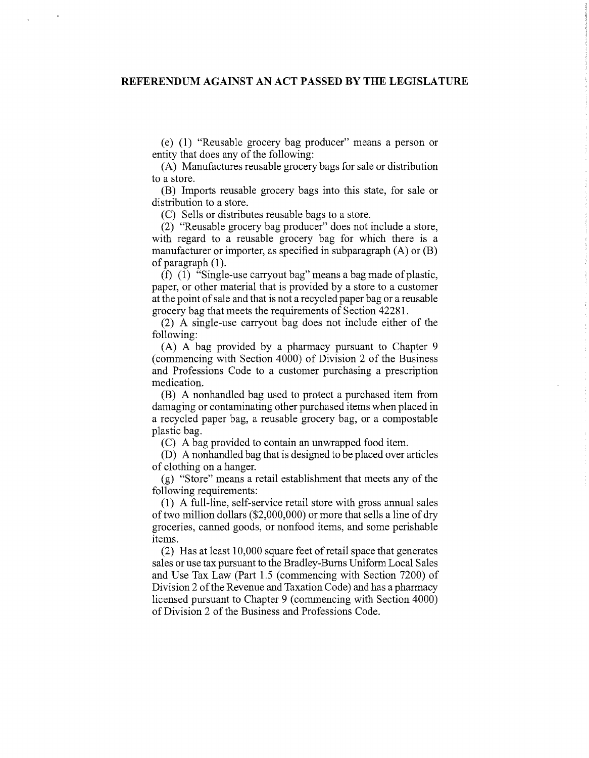(e) (1) "Reusable grocery bag producer" means a person or entity that does any of the following:

(A) Manufactures reusable grocery bags for sale or distribution to a store.

(B) Imports reusable grocery bags into this state, for sale or distribution to a store.

(C) Sells or distributes reusable bags to a store.

(2) "Reusable grocery bag producer" does not include a store, with regard to a reusable grocery bag for which there is a manufacturer or importer, as specified in subparagraph (A) or (B) of paragraph (1).

(f) (1) "Single-use carryout bag" means a bag made of plastic, paper, or other material that is provided by a store to a customer at the point of sale and that is not a recycled paper bag or a reusable grocery bag that meets the requirements of Section 42281.

(2) A single-use carryout bag does not include either of the following:

(A) A bag provided by a pharmacy pursuant to Chapter 9 (commencing with Section 4000) of Division 2 of the Business and Professions Code to a customer purchasing a prescription medication.

(B) A nonhandled bag used to protect a purchased item from damaging or contaminating other purchased items when placed in a recycled paper bag, a reusable grocery bag, or a compostable plastic bag.

(C) A bag provided to contain an unwrapped food item.

(D) A nonhandled bag that is designed to be placed over articles of clothing on a hanger.

(g) "Store" means a retail establishment that meets any of the following requirements:

(1) A full-line, self-service retail store with gross annual sales of two million dollars  $(\$2,000,000)$  or more that sells a line of dry groceries, canned goods, or nonfood items, and some perishable items.

 $(2)$  Has at least 10,000 square feet of retail space that generates sales or use tax pursuant to the Bradley-Bums Uniform Local Sales and Use Tax Law (Part 1.5 (commencing with Section 7200) of Division 2 of the Revenue and Taxation Code) and has a pharmacy licensed pursuant to Chapter 9 (commencing with Section 4000) of Division 2 of the Business and Professions Code.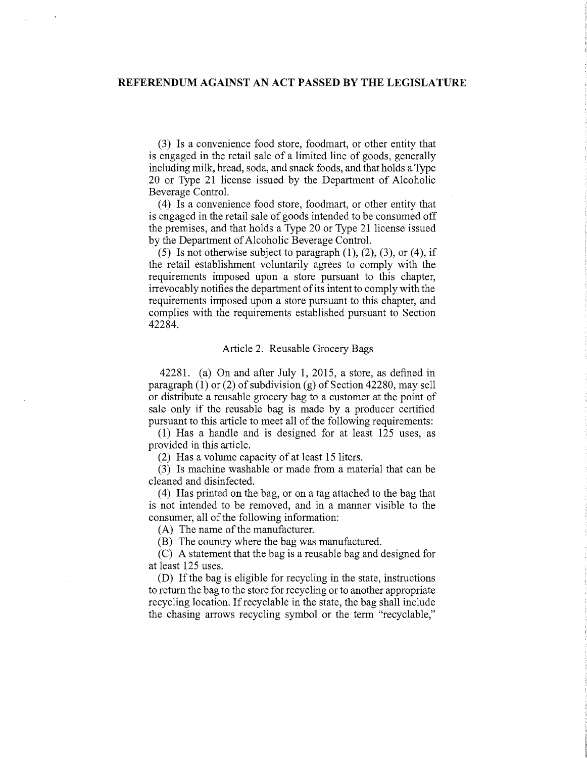(3) Is a convenience food store, foodmart, or other entity that is engaged in the retail sale of a limited line of goods, generally including milk, bread, soda, and snack foods, and that holds a Type 20 or Type 21 license issued by the Department of Alcoholic Beverage Control.

(4) Is a convenience food store, foodmart, or other entity that is engaged in the retail sale of goods intended to be consumed off the premises, and that holds a Type 20 or Type 21 license issued by the Department of Alcoholic Beverage Control.

(5) Is not otherwise subject to paragraph **(1),** (2), (3), or (4), if the retail establishment voluntarily agrees to comply with the requirements imposed upon a store pursuant to this chapter, irrevocably notifies the department of its intent to comply with the requirements imposed upon a store pursuant to this chapter, and complies with the requirements established pursuant to Section 42284.

#### Article 2. Reusable Grocery Bags

42281. (a) On and after July 1, 2015, a store, as defined in paragraph (1) or (2) of subdivision (g) of Section 42280, may sell or distribute a reusable grocery bag to a customer at the point of sale only if the reusable bag is made by a producer certified pursuant to this article to meet all of the following requirements:

(1) Has a handle and is designed for at least 125 uses, as provided in this article.

(2) Has a volume capacity of at least 15 liters.

(3) Is machine washable or made from a material that can be cleaned and disinfected.

(4) Has printed on the bag, or on a tag attached to the bag that is not intended to be removed, and in a manner visible to the consumer, all of the following information:

(A) The name of the manufacturer.

(B) The country where the bag was manufactured.

(C) A statement that the bag is a reusable bag and designed for at least 125 uses.

(D) If the bag is eligible for recycling in the state, instructions to return the bag to the store for recycling or to another appropriate recycling location. If recyclable in the state, the bag shall include the chasing arrows recycling symbol or the term "recyclable,"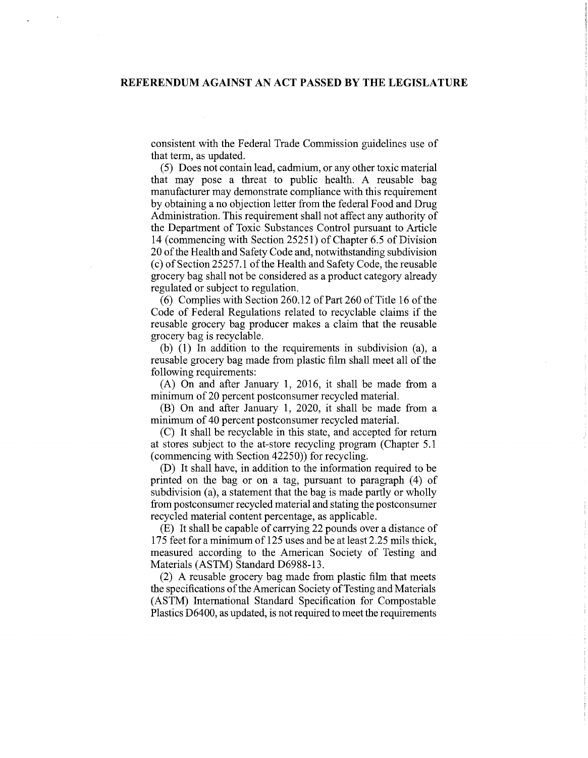consistent with the Federal Trade Commission guidelines use of that term, as updated.

(5) Does not contain lead, cadmium, or any other toxic material that may pose a threat to public health. A reusable bag manufacturer may demonstrate compliance with this requirement by obtaining a no objection letter from the federal Food and Drug Administration. This requirement shall not affect any authority of the Department of Toxic Substances Control pursuant to Article 14 (commencing with Section 25251) of Chapter 6.5 of Division 20 of the Health and Safety Code and, notwithstanding subdivision (c) of Section 25257.1 of the Health and Safety Code, the reusable grocery bag shall not be considered as a product category already regulated or subject to regulation.

(6) Complies with Section 260.12 of Part 260 of Title 16 of the Code of Federal Regulations related to recyclable claims if the reusable grocery bag producer makes a claim that the reusable grocery bag is recyclable.

(b) (1) In addition to the requirements in subdivision (a), a reusable grocery bag made from plastic film shall meet all of the following requirements:

(A) On and after January **1,** 2016, it shall be made from a minimum of 20 percent postconsumer recycled material.

(B) On and after January **1,** 2020, it shall be made from a minimum of 40 percent postconsumer recycled material.

(C) It shall be recyclable in this state, and accepted for return at stores subject to the at-store recycling program (Chapter 5.1 (commencing with Section 42250)) for recycling.

**(D)** It shall have, in addition to the information required to be printed on the bag or on a tag, pursuant to paragraph (4) of subdivision (a), a statement that the bag is made partly or wholly from postconsumer recycled material and stating the postconsumer recycled material content percentage, as applicable.

(E) It shall be capable of carrying 22 pounds over a distance of 175 feet for a minimum of 125 uses and be at least 2.25 mils thick, measured according to the American Society of Testing and Materials (ASTM) Standard D6988-13.

(2) A reusable grocery bag made from plastic film that meets the specifications of the American Society of Testing and Materials (ASTM) International Standard Specification for Compostable Plastics D6400, as updated, is not required to meet the requirements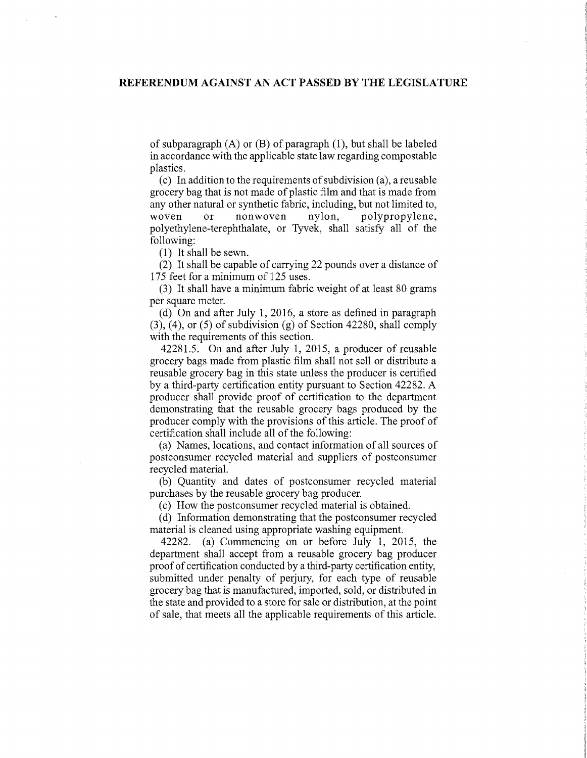of subparagraph  $(A)$  or  $(B)$  of paragraph  $(1)$ , but shall be labeled in accordance with the applicable state law regarding compostable plastics.

 $(c)$  In addition to the requirements of subdivision (a), a reusable grocery bag that is not made of plastic film and that is made from any other natural or synthetic fabric, including, but not limited to, woven or nonwoven nylon, polypropylene, polyethylene-terephthalate, or Tyvek, shall satisfy all of the following:

(1) It shall be sewn.

(2) It shall be capable of carrying 22 pounds over a distance of 175 feet for a minimum of 125 uses.

(3) It shall have a minimum fabric weight of at least 80 grams per square meter.

(d) On and after July 1, 2016, a store as defined in paragraph (3), (4), or (5) of subdivision (g) of Section 42280, shall comply with the requirements of this section.

42281.5. On and after July 1, 2015, a producer of reusable grocery bags made from plastic film shall not sell or distribute a reusable grocery bag in this state unless the producer is certified by a third-party certification entity pursuant to Section 42282. A producer shall provide proof of certification to the department demonstrating that the reusable grocery bags produced by the producer comply with the provisions of this article. The proof of certification shall include all of the following:

(a) Names, locations, and contact information of all sources of postconsumer recycled material and suppliers of postconsumer recycled material.

(b) Quantity and dates of postconsumer recycled material purchases by the reusable grocery bag producer.

(c) How the postconsumer recycled material is obtained.

(d) Information demonstrating that the postconsumer recycled material is cleaned using appropriate washing equipment.

42282. (a) Commencing on or before July 1, 2015, the department shall accept from a reusable grocery bag producer proof of certification conducted by a third-party certification entity, submitted under penalty of perjury, for each type of reusable grocery bag that is manufactured, imported, sold, or distributed in the state and provided to a store for sale or distribution, at the point of sale, that meets all the applicable requirements of this article.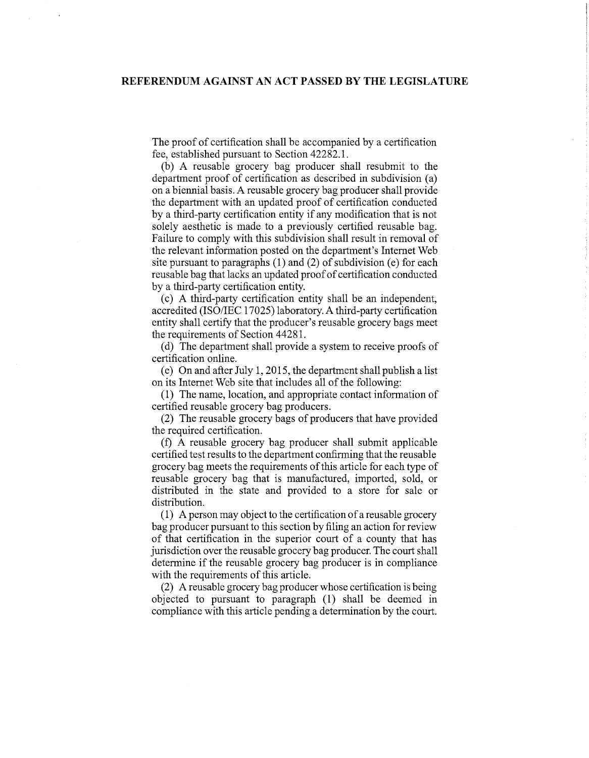The proof of certification shall be accompanied by a certification fee, established pursuant to Section 42282.1.

(b) A reusable grocery bag producer shall resubmit to the department proof of certification as described in subdivision (a) on a biennial basis. A reusable grocery bag producer shall provide the department with an updated proof of certification conducted by a third-party certification entity if any modification that is not solely aesthetic is made to a previously certified reusable bag. Failure to comply with this subdivision shall result in removal of the relevant information posted on the department's Internet Web site pursuant to paragraphs (1) and (2) of subdivision (e) for each reusable bag that lacks an updated proof of certification conducted by a third-party certification entity.

(c) A third-party certification entity shall be an independent, accredited (ISO/IEC 17025) laboratory. A third-party certification entity shall certify that the producer's reusable grocery bags meet the requirements of Section 44281.

(d) The department shall provide a system to receive proofs of certification online.

(e) On and after July 1, 2015, the department shall publish a list on its Internet Web site that includes all of the following:

(1) The name, location, and appropriate contact information of certified reusable grocery bag producers.

(2) The reusable grocery bags of producers that have provided the required certification.

(f) A reusable grocery bag producer shall submit applicable certified test results to the department confirming that the reusable grocery bag meets the requirements ofthis article for each type of reusable grocery bag that is manufactured, imported, sold, or distributed in the state and provided to a store for sale or distribution.

 $(1)$  A person may object to the certification of a reusable grocery bag producer pursuant to this section by filing an action for review of that certification in the superior court of a county that has jurisdiction over the reusable grocery bag producer. The court shall determine if the reusable grocery bag producer is in compliance with the requirements of this article.

(2) A reusable grocery bag producer whose certification is being objected to pursuant to paragraph (1) shall be deemed in compliance with this article pending a determination by the court.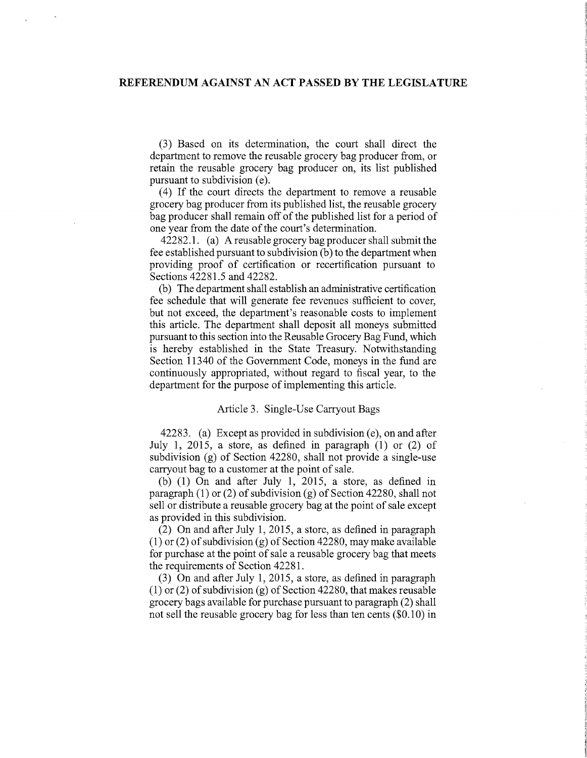(3) Based on its determination, the court shall direct the department to remove the reusable grocery bag producer from, or retain the reusable grocery bag producer on, its list published pursuant to subdivision (e).

(4) If the court directs the department to remove a reusable grocery bag producer from its published list, the reusable grocery bag producer shall remain off of the published list for a period of one year from the date of the court's determination.

42282.1. (a) A reusable grocery bag producer shall submit the fee established pursuant to subdivision (b) to the department when providing proof of certification or recertification pursuant to Sections 42281.5 and 42282.

(b) The department shall establish an administrative certification fee schedule that will generate fee revenues sufficient to cover, but not exceed, the department's reasonable costs to implement this article. The department shall deposit all moneys submitted pursuant to this section into the Reusable Grocery Bag Fund, which is hereby established in the State Treasury. Notwithstanding Section 11340 of the Government Code, moneys in the fund are continuously appropriated, without regard to fiscal year, to the department for the purpose of implementing this article.

#### Article 3. Single-Use Carryout Bags

42283. (a) Except as provided in subdivision (e), on and after July 1, 2015, a store, as defined in paragraph (1) or (2) of subdivision (g) of Section 42280, shall not provide a single-use carryout bag to a customer at the point of sale.

(b) (1) On and after July 1, 2015, a store, as defined in paragraph (1) or (2) of subdivision (g) of Section 42280, shall not sell or distribute a reusable grocery bag at the point of sale except as provided in this subdivision.

(2) On and after July 1, 2015, a store, as defined in paragraph (1) or (2) of subdivision (g) of Section 42280, may make available for purchase at the point of sale a reusable grocery bag that meets the requirements of Section 42281.

(3) On and after July 1, 2015, a store, as defined in paragraph (1) or (2) of subdivision (g) of Section 42280, that makes reusable grocery bags available for purchase pursuant to paragraph (2) shall not sell the reusable grocery bag for less than ten cents  $(\$0.10)$  in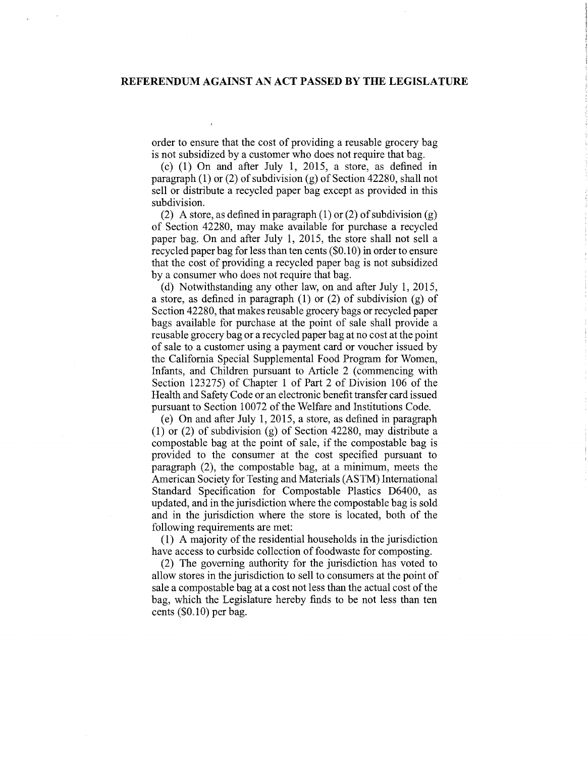order to ensure that the cost of providing a reusable grocery bag is not subsidized by a customer who does not require that bag.

(c) (1) On and after July 1, 2015, a store, as defined in paragraph  $(1)$  or  $(2)$  of subdivision  $(g)$  of Section 42280, shall not sell or distribute a recycled paper bag except as provided in this subdivision.

(2) A store, as defined in paragraph  $(1)$  or  $(2)$  of subdivision  $(g)$ of Section 42280, may make available for purchase a recycled paper bag. On and after July 1, 2015, the store shall not sell a recycled paper bag for less than ten cents (\$0.1 0) in order to ensure that the cost of providing a recycled paper bag is not subsidized by a consumer who does not require that bag.

(d) Notwithstanding any other law, on and after July 1, 2015, a store, as defined in paragraph (1) or (2) of subdivision (g) of Section 42280, that makes reusable grocery bags or recycled paper bags available for purchase at the point of sale shall provide a reusable grocery bag or a recycled paper bag at no cost at the point of sale to a customer using a payment card or voucher issued by the California Special Supplemental Food Program for Women, Infants, and Children pursuant to Article 2 (commencing with Section 123275) of Chapter 1 of Part 2 of Division 106 of the Health and Safety Code or an electronic benefit transfer card issued pursuant to Section 10072 of the Welfare and Institutions Code.

(e) On and after July 1, 2015, a store, as defined in paragraph (1) or (2) of subdivision (g) of Section 42280, may distribute a compostable bag at the point of sale, if the compostable bag is provided to the consumer at the cost specified pursuant to paragraph (2), the compostable bag, at a minimum, meets the American Society for Testing and Materials (ASTM) International Standard Specification for Compostable Plastics D6400, as updated, and in the jurisdiction where the compostable bag is sold and in the jurisdiction where the store is located, both of the following requirements are met:

(1) A majority of the residential households in the jurisdiction have access to curbside collection of foodwaste for composting.

(2) The governing authority for the jurisdiction has voted to allow stores in the jurisdiction to sell to consumers at the point of sale a compostable bag at a cost not less than the actual cost of the bag, which the Legislature hereby finds to be not less than ten cents  $(\$0.10)$  per bag.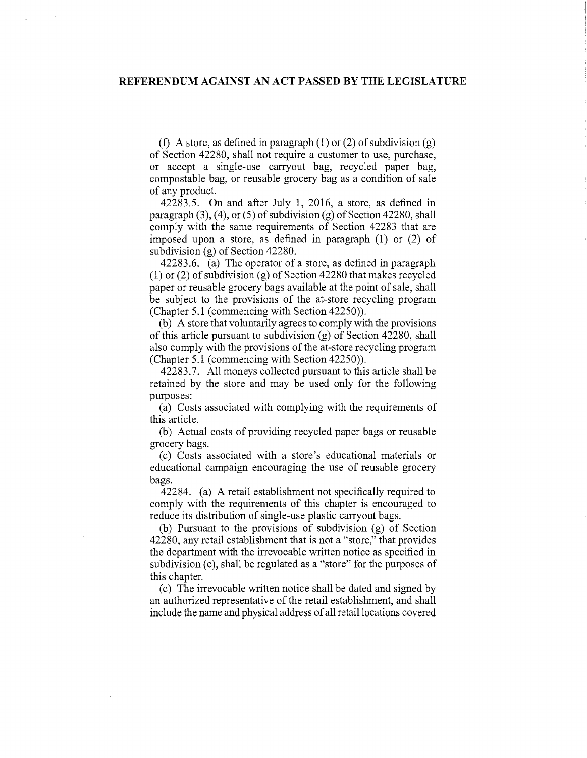(f) A store, as defined in paragraph (1) or (2) of subdivision (g) of Section 42280, shall not require a customer to use, purchase, or accept a single-use carryout bag, recycled paper bag, compostable bag, or reusable grocery bag as a condition of sale of any product.

42283.5. On and after July 1, 2016, a store, as defined in paragraph (3), (4), or (5) of subdivision (g) of Section 42280, shall comply with the same requirements of Section 42283 that are imposed upon a store, as defined in paragraph (1) or (2) of subdivision (g) of Section 42280.

42283.6. (a) The operator of a store, as defined in paragraph (1) or (2) of subdivision (g) of Section 42280 that makes recycled paper or reusable grocery bags available at the point of sale, shall be subject to the provisions of the at-store recycling program (Chapter 5.1 (commencing with Section 42250)).

(b) A store that voluntarily agrees to comply with the provisions of this article pursuant to subdivision (g) of Section 42280, shall also comply with the provisions of the at-store recycling program (Chapter 5.1 (commencing with Section 42250)).

42283.7. All moneys collected pursuant to this article shall be retained by the store and may be used only for the following purposes:

(a) Costs associated with complying with the requirements of this article.

(b) Actual costs of providing recycled paper bags or reusable grocery bags.

(c) Costs associated with a store's educational materials or educational campaign encouraging the use of reusable grocery bags.

42284. (a) A retail establishment not specifically required to comply with the requirements of this chapter is encouraged to reduce its distribution of single-use plastic carryout bags.

(b) Pursuant to the provisions of subdivision (g) of Section 42280, any retail establishment that is not a "store," that provides the department with the irrevocable written notice as specified in subdivision (c), shall be regulated as a "store" for the purposes of this chapter.

(c) The irrevocable written notice shall be dated and signed by an authorized representative of the retail establishment, and shall include the name and physical address ofall retail locations covered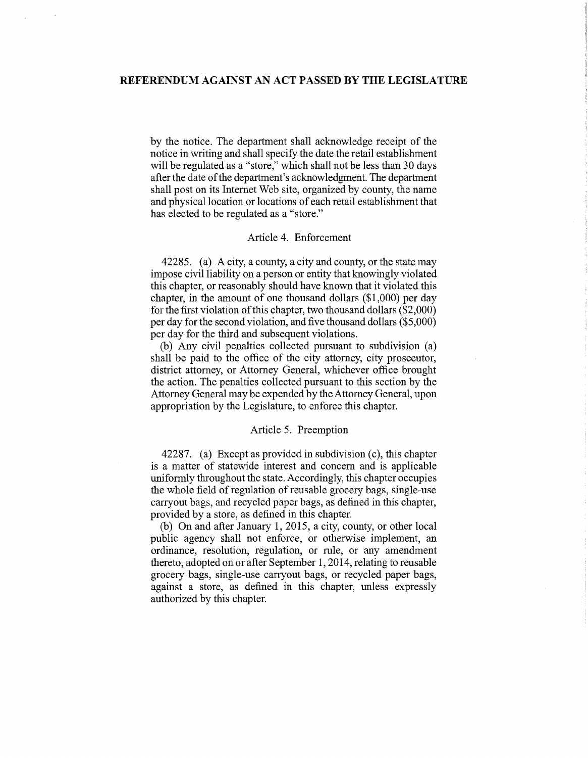by the notice. The department shall acknowledge receipt of the notice in writing and shall specify the date the retail establishment will be regulated as a "store," which shall not be less than 30 days after the date of the department's acknowledgment. The department shall post on its Internet Web site, organized by county, the name and physical location or locations of each retail establishment that has elected to be regulated as a "store."

## Article 4. Enforcement

42285. (a) A city, a county, a city and county, or the state may impose civil liability on a person or entity that knowingly violated this chapter, or reasonably should have known that it violated this chapter, in the amount of one thousand dollars (\$1,000) per day for the first violation of this chapter, two thousand dollars  $(\$2,000)$ per day for the second violation, and five thousand dollars (\$5,000) per day for the third and subsequent violations.

(b) Any civil penalties collected pursuant to subdivision (a) shall be paid to the office of the city attorney, city prosecutor, district attorney, or Attorney General, whichever office brought the action. The penalties collected pursuant to this section by the Attorney General may be expended by the Attorney General, upon appropriation by the Legislature, to enforce this chapter.

#### Article 5. Preemption

42287. (a) Except as provided in subdivision (c), this chapter is a matter of statewide interest and concern and is applicable uniformly throughout the state. Accordingly, this chapter occupies the whole field of regulation of reusable grocery bags, single-use carry out bags, and recycled paper bags, as defined in this chapter, provided by a store, as defined in this chapter.

(b) On and after January 1, 2015, a city, county, or other local public agency shall not enforce, or otherwise implement, an ordinance, resolution, regulation, or rule, or any amendment thereto, adopted on or after September 1, 2014, relating to reusable grocery bags, single-use carryout bags, or recycled paper bags, against a store, as defined in this chapter, unless expressly authorized by this chapter.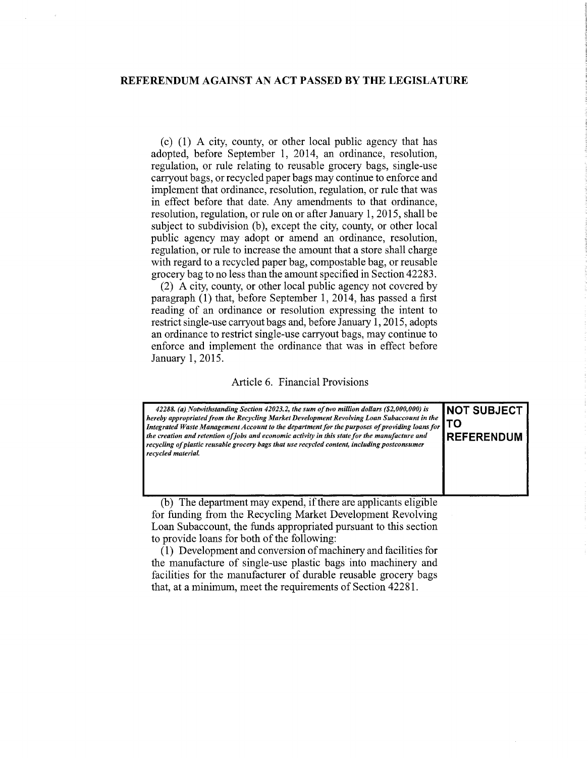(c) (1) A city, county, or other local public agency that has adopted, before September 1, 2014, an ordinance, resolution, regulation, or rule relating to reusable grocery bags, single-use carry out bags, or recycled paper bags may continue to enforce and implement that ordinance, resolution, regulation, or rule that was in effect before that date. Any amendments to that ordinance, resolution, regulation, or rule on or after January 1, 2015, shall be subject to subdivision (b), except the city, county, or other local public agency may adopt or amend an ordinance, resolution, regulation, or rule to increase the amount that a store shall charge with regard to a recycled paper bag, compostable bag, or reusable grocery bag to no less than the amount specified in Section 42283.

(2) A city, county, or other local public agency not covered by paragraph (1) that, before September 1, 2014, has passed a first reading of an ordinance or resolution expressing the intent to restrict single-use carryout bags and, before January 1, 2015, adopts an ordinance to restrict single-use carryout bags, may continue to enforce and implement the ordinance that was in effect before January 1, 2015.

### Article 6. Financial Provisions

| 42288. (a) Notwithstanding Section 42023.2, the sum of two million dollars (\$2,000,000) is<br>hereby appropriated from the Recycling Market Development Revolving Loan Subaccount in the<br>Integrated Waste Management Account to the department for the purposes of providing loans for<br>the creation and retention of jobs and economic activity in this state for the manufacture and<br>recycling of plastic reusable grocery bags that use recycled content, including postconsumer<br>recycled material. | <b>INOT SUBJECT</b><br><b>TO</b><br><b>IREFFRENDUM</b> |
|--------------------------------------------------------------------------------------------------------------------------------------------------------------------------------------------------------------------------------------------------------------------------------------------------------------------------------------------------------------------------------------------------------------------------------------------------------------------------------------------------------------------|--------------------------------------------------------|
|--------------------------------------------------------------------------------------------------------------------------------------------------------------------------------------------------------------------------------------------------------------------------------------------------------------------------------------------------------------------------------------------------------------------------------------------------------------------------------------------------------------------|--------------------------------------------------------|

(b) The department may expend, if there are applicants eligible for funding from the Recycling Market Development Revolving Loan Subaccount, the funds appropriated pursuant to this section to provide loans for both of the following:

 $(1)$  Development and conversion of machinery and facilities for the manufacture of single-use plastic bags into machinery and facilities for the manufacturer of durable reusable grocery bags that, at a minimum, meet the requirements of Section 42281.